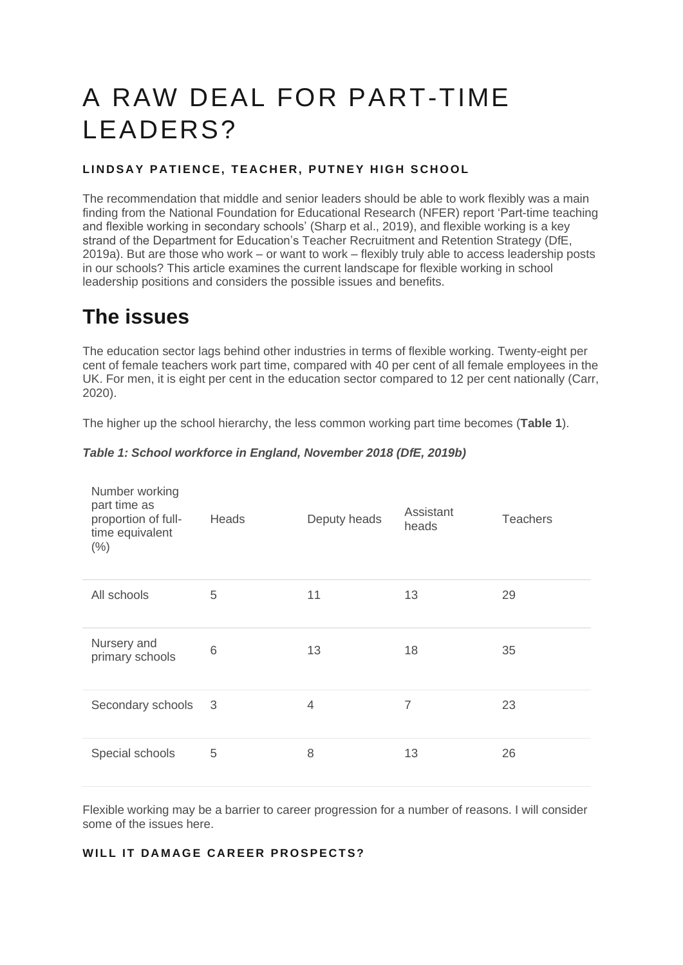# A RAW DEAL FOR PART-TIME LEADERS?

#### **LINDSAY PATIENCE, TEACHER, PUTNEY HIGH SCHOOL**

The recommendation that middle and senior leaders should be able to work flexibly was a main finding from the National Foundation for Educational Research (NFER) report 'Part-time teaching and flexible working in secondary schools' (Sharp et al., 2019), and flexible working is a key strand of the Department for Education's Teacher Recruitment and Retention Strategy (DfE, 2019a). But are those who work – or want to work – flexibly truly able to access leadership posts in our schools? This article examines the current landscape for flexible working in school leadership positions and considers the possible issues and benefits.

### **The issues**

The education sector lags behind other industries in terms of flexible working. Twenty-eight per cent of female teachers work part time, compared with 40 per cent of all female employees in the UK. For men, it is eight per cent in the education sector compared to 12 per cent nationally (Carr, 2020).

The higher up the school hierarchy, the less common working part time becomes (**Table 1**).

| Number working<br>part time as<br>proportion of full-<br>time equivalent<br>$(\% )$ | Heads | Deputy heads | Assistant<br>heads | <b>Teachers</b> |
|-------------------------------------------------------------------------------------|-------|--------------|--------------------|-----------------|
| All schools                                                                         | 5     | 11           | 13                 | 29              |
| Nursery and<br>primary schools                                                      | 6     | 13           | 18                 | 35              |
| Secondary schools                                                                   | 3     | 4            | $\overline{7}$     | 23              |
| Special schools                                                                     | 5     | 8            | 13                 | 26              |

Flexible working may be a barrier to career progression for a number of reasons. I will consider some of the issues here.

#### **WILL IT DAMAGE CAREER PROSPECTS?**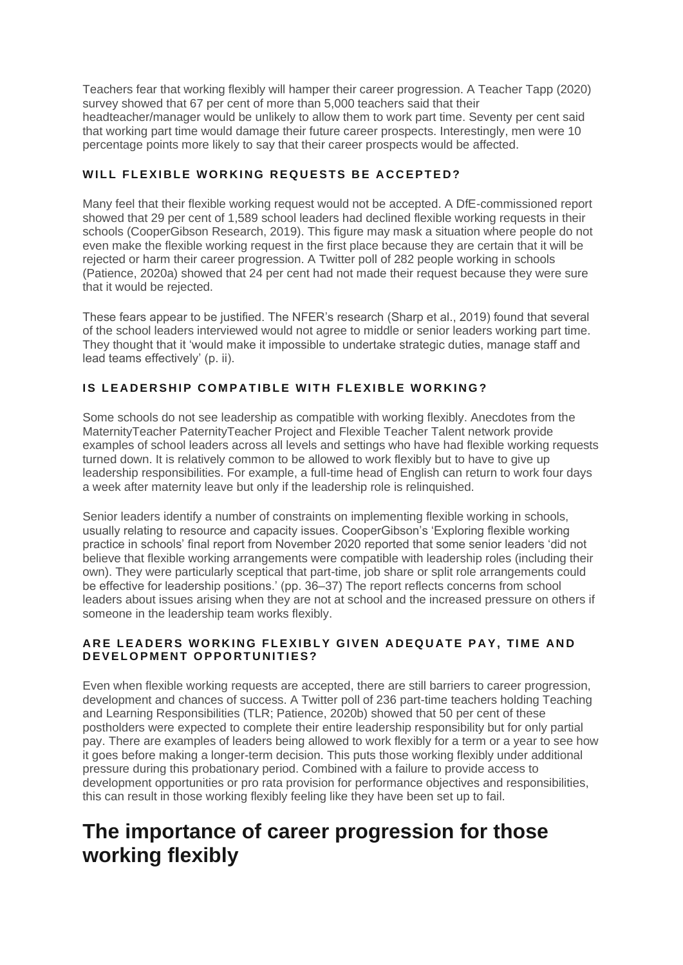Teachers fear that working flexibly will hamper their career progression. A Teacher Tapp (2020) survey showed that 67 per cent of more than 5,000 teachers said that their headteacher/manager would be unlikely to allow them to work part time. Seventy per cent said that working part time would damage their future career prospects. Interestingly, men were 10 percentage points more likely to say that their career prospects would be affected.

#### WILL FLEXIBLE WORKING REQUESTS BE ACCEPTED?

Many feel that their flexible working request would not be accepted. A DfE-commissioned report showed that 29 per cent of 1,589 school leaders had declined flexible working requests in their schools (CooperGibson Research, 2019). This figure may mask a situation where people do not even make the flexible working request in the first place because they are certain that it will be rejected or harm their career progression. A Twitter poll of 282 people working in schools (Patience, 2020a) showed that 24 per cent had not made their request because they were sure that it would be rejected.

These fears appear to be justified. The NFER's research (Sharp et al., 2019) found that several of the school leaders interviewed would not agree to middle or senior leaders working part time. They thought that it 'would make it impossible to undertake strategic duties, manage staff and lead teams effectively' (p. ii).

#### **IS LEADERSHIP COMPATIBLE WITH FLEXIBLE WORKING?**

Some schools do not see leadership as compatible with working flexibly. Anecdotes from the MaternityTeacher PaternityTeacher Project and Flexible Teacher Talent network provide examples of school leaders across all levels and settings who have had flexible working requests turned down. It is relatively common to be allowed to work flexibly but to have to give up leadership responsibilities. For example, a full-time head of English can return to work four days a week after maternity leave but only if the leadership role is relinquished.

Senior leaders identify a number of constraints on implementing flexible working in schools, usually relating to resource and capacity issues. CooperGibson's 'Exploring flexible working practice in schools' final report from November 2020 reported that some senior leaders 'did not believe that flexible working arrangements were compatible with leadership roles (including their own). They were particularly sceptical that part-time, job share or split role arrangements could be effective for leadership positions.' (pp. 36–37) The report reflects concerns from school leaders about issues arising when they are not at school and the increased pressure on others if someone in the leadership team works flexibly.

#### ARE LEADERS WORKING FLEXIBLY GIVEN ADEQUATE PAY, TIME AND **DEVELOPMENT OPPORTUNITIES?**

Even when flexible working requests are accepted, there are still barriers to career progression, development and chances of success. A Twitter poll of 236 part-time teachers holding Teaching and Learning Responsibilities (TLR; Patience, 2020b) showed that 50 per cent of these postholders were expected to complete their entire leadership responsibility but for only partial pay. There are examples of leaders being allowed to work flexibly for a term or a year to see how it goes before making a longer-term decision. This puts those working flexibly under additional pressure during this probationary period. Combined with a failure to provide access to development opportunities or pro rata provision for performance objectives and responsibilities, this can result in those working flexibly feeling like they have been set up to fail.

### **The importance of career progression for those working flexibly**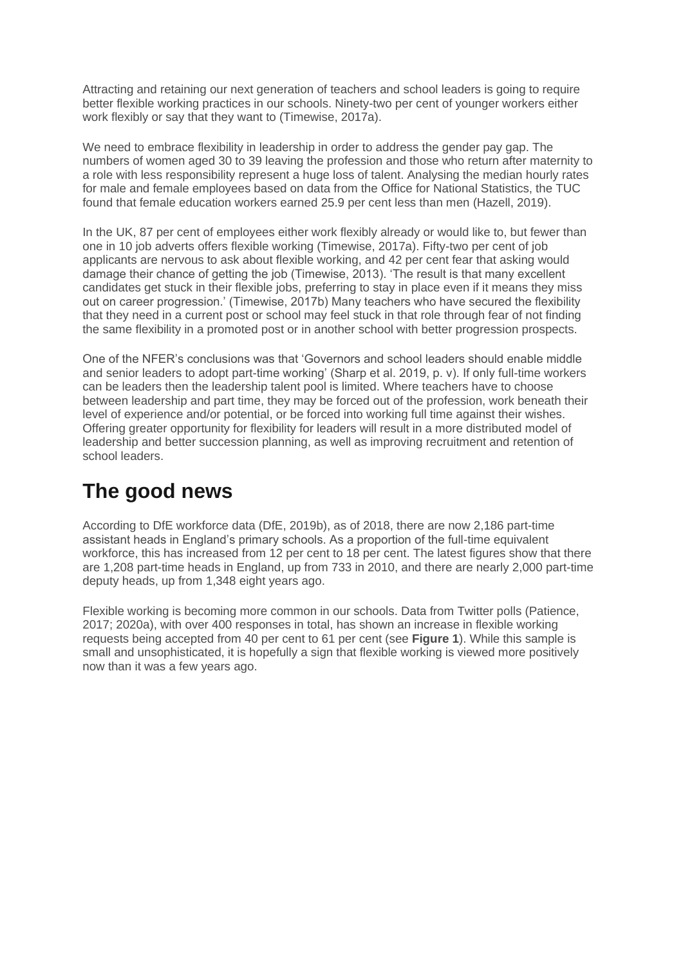Attracting and retaining our next generation of teachers and school leaders is going to require better flexible working practices in our schools. Ninety-two per cent of younger workers either work flexibly or say that they want to (Timewise, 2017a).

We need to embrace flexibility in leadership in order to address the gender pay gap. The numbers of women aged 30 to 39 leaving the profession and those who return after maternity to a role with less responsibility represent a huge loss of talent. Analysing the median hourly rates for male and female employees based on data from the Office for National Statistics, the TUC found that female education workers earned 25.9 per cent less than men (Hazell, 2019).

In the UK, 87 per cent of employees either work flexibly already or would like to, but fewer than one in 10 job adverts offers flexible working (Timewise, 2017a). Fifty-two per cent of job applicants are nervous to ask about flexible working, and 42 per cent fear that asking would damage their chance of getting the job (Timewise, 2013). 'The result is that many excellent candidates get stuck in their flexible jobs, preferring to stay in place even if it means they miss out on career progression.' (Timewise, 2017b) Many teachers who have secured the flexibility that they need in a current post or school may feel stuck in that role through fear of not finding the same flexibility in a promoted post or in another school with better progression prospects.

One of the NFER's conclusions was that 'Governors and school leaders should enable middle and senior leaders to adopt part-time working' (Sharp et al. 2019, p. v). If only full-time workers can be leaders then the leadership talent pool is limited. Where teachers have to choose between leadership and part time, they may be forced out of the profession, work beneath their level of experience and/or potential, or be forced into working full time against their wishes. Offering greater opportunity for flexibility for leaders will result in a more distributed model of leadership and better succession planning, as well as improving recruitment and retention of school leaders.

# **The good news**

According to DfE workforce data (DfE, 2019b), as of 2018, there are now 2,186 part-time assistant heads in England's primary schools. As a proportion of the full-time equivalent workforce, this has increased from 12 per cent to 18 per cent. The latest figures show that there are 1,208 part-time heads in England, up from 733 in 2010, and there are nearly 2,000 part-time deputy heads, up from 1,348 eight years ago.

Flexible working is becoming more common in our schools. Data from Twitter polls (Patience, 2017; 2020a), with over 400 responses in total, has shown an increase in flexible working requests being accepted from 40 per cent to 61 per cent (see **Figure 1**). While this sample is small and unsophisticated, it is hopefully a sign that flexible working is viewed more positively now than it was a few years ago.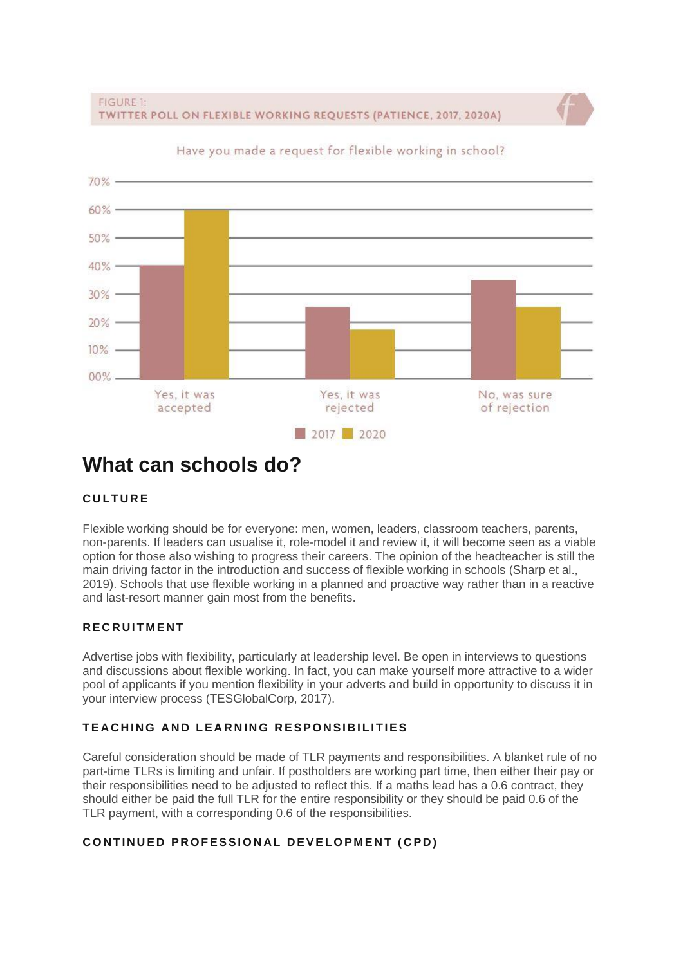FIGURE 1: TWITTER POLL ON FLEXIBLE WORKING REQUESTS (PATIENCE, 2017, 2020A)



Have you made a request for flexible working in school?

### **What can schools do?**

#### **CULTURE**

Flexible working should be for everyone: men, women, leaders, classroom teachers, parents, non-parents. If leaders can usualise it, role-model it and review it, it will become seen as a viable option for those also wishing to progress their careers. The opinion of the headteacher is still the main driving factor in the introduction and success of flexible working in schools (Sharp et al., 2019). Schools that use flexible working in a planned and proactive way rather than in a reactive and last-resort manner gain most from the benefits.

#### **R E C R U I T M E N T**

Advertise jobs with flexibility, particularly at leadership level. Be open in interviews to questions and discussions about flexible working. In fact, you can make yourself more attractive to a wider pool of applicants if you mention flexibility in your adverts and build in opportunity to discuss it in your interview process (TESGlobalCorp, 2017).

#### **TEACHING AND LEARNING RESPONSIBILITIES**

Careful consideration should be made of TLR payments and responsibilities. A blanket rule of no part-time TLRs is limiting and unfair. If postholders are working part time, then either their pay or their responsibilities need to be adjusted to reflect this. If a maths lead has a 0.6 contract, they should either be paid the full TLR for the entire responsibility or they should be paid 0.6 of the TLR payment, with a corresponding 0.6 of the responsibilities.

#### **CONTINUED PROFESSIONAL DEVELOPMENT (CPD)**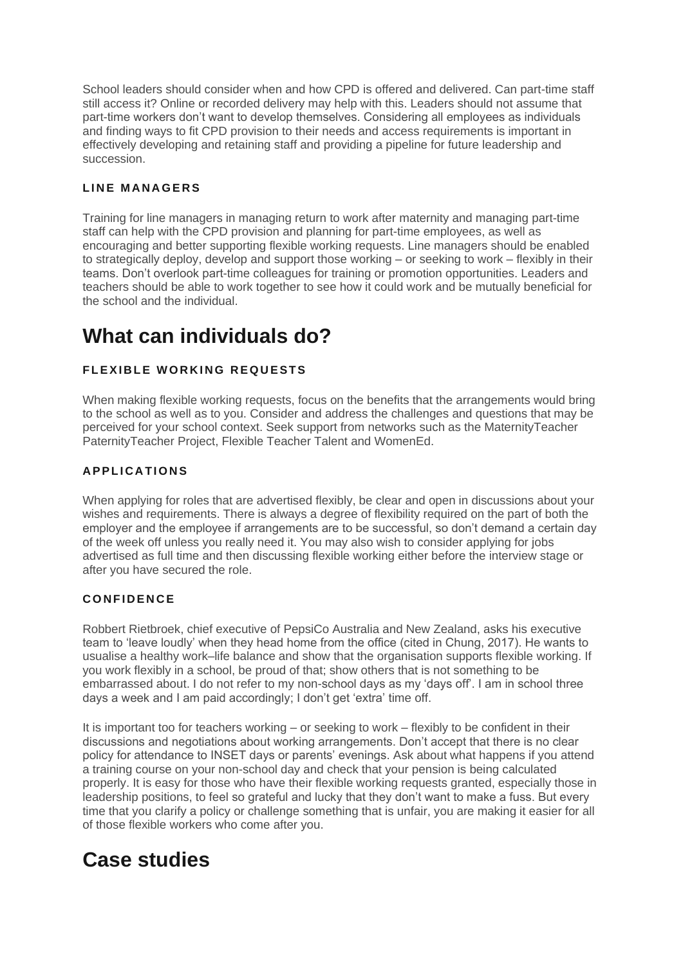School leaders should consider when and how CPD is offered and delivered. Can part-time staff still access it? Online or recorded delivery may help with this. Leaders should not assume that part-time workers don't want to develop themselves. Considering all employees as individuals and finding ways to fit CPD provision to their needs and access requirements is important in effectively developing and retaining staff and providing a pipeline for future leadership and succession.

#### LINE MANAGERS

Training for line managers in managing return to work after maternity and managing part-time staff can help with the CPD provision and planning for part-time employees, as well as encouraging and better supporting flexible working requests. Line managers should be enabled to strategically deploy, develop and support those working – or seeking to work – flexibly in their teams. Don't overlook part-time colleagues for training or promotion opportunities. Leaders and teachers should be able to work together to see how it could work and be mutually beneficial for the school and the individual.

# **What can individuals do?**

#### **FLEXIBLE WORKING REQUESTS**

When making flexible working requests, focus on the benefits that the arrangements would bring to the school as well as to you. Consider and address the challenges and questions that may be perceived for your school context. Seek support from networks such as the MaternityTeacher PaternityTeacher Project, Flexible Teacher Talent and WomenEd.

#### **A P P L I C A T I O N S**

When applying for roles that are advertised flexibly, be clear and open in discussions about your wishes and requirements. There is always a degree of flexibility required on the part of both the employer and the employee if arrangements are to be successful, so don't demand a certain day of the week off unless you really need it. You may also wish to consider applying for jobs advertised as full time and then discussing flexible working either before the interview stage or after you have secured the role.

#### **C O N F I D E N C E**

Robbert Rietbroek, chief executive of PepsiCo Australia and New Zealand, asks his executive team to 'leave loudly' when they head home from the office (cited in Chung, 2017). He wants to usualise a healthy work–life balance and show that the organisation supports flexible working. If you work flexibly in a school, be proud of that; show others that is not something to be embarrassed about. I do not refer to my non-school days as my 'days off'. I am in school three days a week and I am paid accordingly; I don't get 'extra' time off.

It is important too for teachers working – or seeking to work – flexibly to be confident in their discussions and negotiations about working arrangements. Don't accept that there is no clear policy for attendance to INSET days or parents' evenings. Ask about what happens if you attend a training course on your non-school day and check that your pension is being calculated properly. It is easy for those who have their flexible working requests granted, especially those in leadership positions, to feel so grateful and lucky that they don't want to make a fuss. But every time that you clarify a policy or challenge something that is unfair, you are making it easier for all of those flexible workers who come after you.

### **Case studies**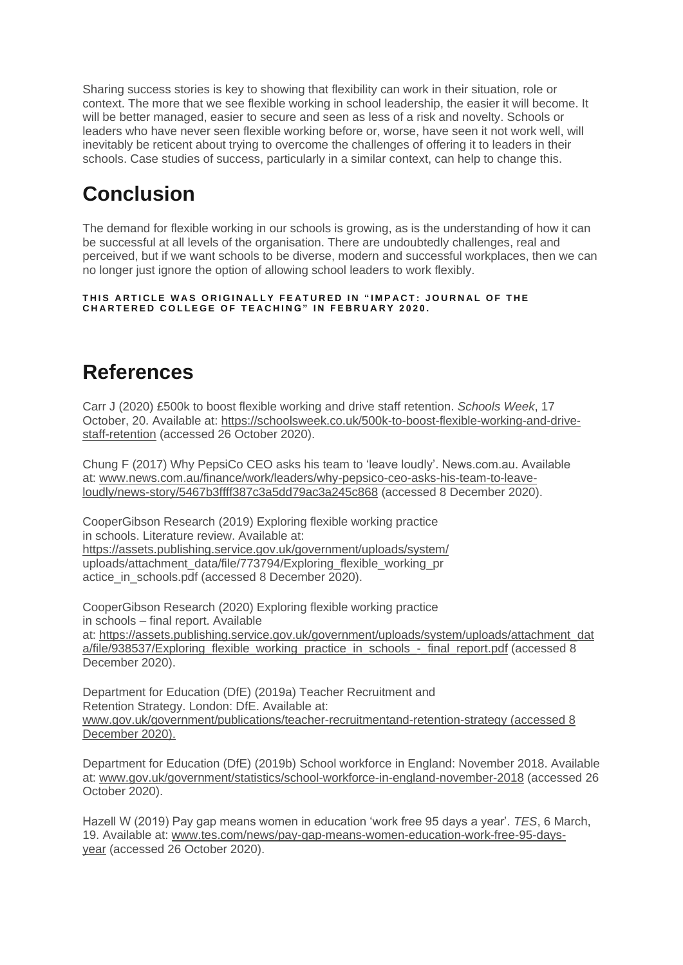Sharing success stories is key to showing that flexibility can work in their situation, role or context. The more that we see flexible working in school leadership, the easier it will become. It will be better managed, easier to secure and seen as less of a risk and novelty. Schools or leaders who have never seen flexible working before or, worse, have seen it not work well, will inevitably be reticent about trying to overcome the challenges of offering it to leaders in their schools. Case studies of success, particularly in a similar context, can help to change this.

# **Conclusion**

The demand for flexible working in our schools is growing, as is the understanding of how it can be successful at all levels of the organisation. There are undoubtedly challenges, real and perceived, but if we want schools to be diverse, modern and successful workplaces, then we can no longer just ignore the option of allowing school leaders to work flexibly.

**T H I S A R T I C L E W A S O R I G I N A L L Y F E A T U R E D I N " I M P A C T : J O U R N A L O F T H E C H A R T E R E D C O L L E G E O F T E A C H I N G " I N F E B R U A R Y 2 0 2 0 .**

# **References**

Carr J (2020) £500k to boost flexible working and drive staff retention. *Schools Week*, 17 October, 20. Available at: [https://schoolsweek.co.uk/500k-to-boost-flexible-working-and-drive](https://schoolsweek.co.uk/500k-to-boost-flexible-working-and-drive-staff-retention/)[staff-retention](https://schoolsweek.co.uk/500k-to-boost-flexible-working-and-drive-staff-retention/) (accessed 26 October 2020).

Chung F (2017) Why PepsiCo CEO asks his team to 'leave loudly'. News.com.au. Available at: [www.news.com.au/finance/work/leaders/why-pepsico-ceo-asks-his-team-to-leave](https://www.news.com.au/finance/work/leaders/why-pepsico-ceo-asks-his-team-to-leave-loudly/news-story/5467b3ffff387c3a5dd79ac3a245c868)[loudly/news-story/5467b3ffff387c3a5dd79ac3a245c868](https://www.news.com.au/finance/work/leaders/why-pepsico-ceo-asks-his-team-to-leave-loudly/news-story/5467b3ffff387c3a5dd79ac3a245c868) (accessed 8 December 2020).

CooperGibson Research (2019) Exploring flexible working practice in schools. Literature review. Available at: <https://assets.publishing.service.gov.uk/government/uploads/system/> uploads/attachment\_data/file/773794/Exploring\_flexible\_working\_pr actice in schools.pdf (accessed 8 December 2020).

CooperGibson Research (2020) Exploring flexible working practice in schools – final report. Available at: [https://assets.publishing.service.gov.uk/government/uploads/system/uploads/attachment\\_dat](https://assets.publishing.service.gov.uk/government/uploads/system/uploads/attachment_data/file/938537/Exploring_flexible_working_practice_in_schools_-_final_report.pdf) [a/file/938537/Exploring\\_flexible\\_working\\_practice\\_in\\_schools\\_-\\_final\\_report.pdf](https://assets.publishing.service.gov.uk/government/uploads/system/uploads/attachment_data/file/938537/Exploring_flexible_working_practice_in_schools_-_final_report.pdf) (accessed 8 December 2020).

Department for Education (DfE) (2019a) Teacher Recruitment and Retention Strategy. London: DfE. Available at: [www.gov.uk/government/publications/teacher-recruitmentand-retention-strategy](https://www.gov.uk/government/publications/teacher-recruitmentand-retention-strategy) (accessed 8 December 2020).

Department for Education (DfE) (2019b) School workforce in England: November 2018. Available at: [www.gov.uk/government/statistics/school-workforce-in-england-november-2018](https://www.gov.uk/government/statistics/school-workforce-in-england-november-2018) (accessed 26 October 2020).

Hazell W (2019) Pay gap means women in education 'work free 95 days a year'. *TES*, 6 March, 19. Available at: [www.tes.com/news/pay-gap-means-women-education-work-free-95-days](http://www.tes.com/news/pay-gap-means-women-education-work-free-95-days-year)[year](http://www.tes.com/news/pay-gap-means-women-education-work-free-95-days-year) (accessed 26 October 2020).